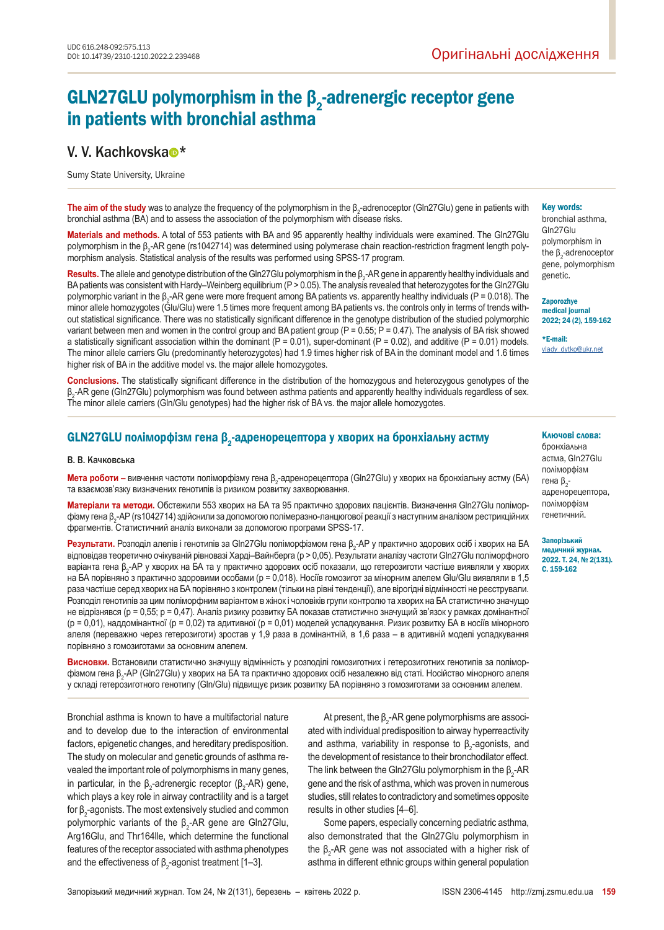# GLN27GLU polymorphism in the  $\beta_2$ -adrenergic receptor gene in patients with bronchial asthma

## V. V. K[a](https://orcid.org/0000-0002-9563-5425)chkovska<sup>o\*</sup>

Sumy State University, Ukraine

**The aim of the study** was to analyze the frequency of the polymorphism in the β<sub>2</sub>-adrenoceptor (Gln27Glu) gene in patients with bronchial asthma (BA) and to assess the association of the polymorphism with disease risks.

**Materials and methods.** A total of 553 patients with BA and 95 apparently healthy individuals were examined. The Gln27Glu polymorphism in the β<sub>2</sub>-AR gene (rs1042714) was determined using polymerase chain reaction-restriction fragment length polymorphism analysis. Statistical analysis of the results was performed using SPSS-17 program.

Results. The allele and genotype distribution of the Gln27Glu polymorphism in the β<sub>2</sub>-AR gene in apparently healthy individuals and BA patients was consistent with Hardy–Weinberg equilibrium (P > 0.05). The analysis revealed that heterozygotes for the Gln27Glu polymorphic variant in the β<sub>2</sub>-AR gene were more frequent among BA patients vs. apparently healthy individuals (P = 0.018). The minor allele homozygotes (Glu/Glu) were 1.5 times more frequent among BA patients vs. the controls only in terms of trends without statistical significance. There was no statistically significant difference in the genotype distribution of the studied polymorphic variant between men and women in the control group and BA patient group ( $P = 0.55$ ;  $P = 0.47$ ). The analysis of BA risk showed a statistically significant association within the dominant ( $P = 0.01$ ), super-dominant ( $P = 0.02$ ), and additive ( $P = 0.01$ ) models. The minor allele carriers Glu (predominantly heterozygotes) had 1.9 times higher risk of BA in the dominant model and 1.6 times higher risk of BA in the additive model vs. the major allele homozygotes.

**Conclusions.** The statistically significant difference in the distribution of the homozygous and heterozygous genotypes of the β2 -AR gene (Gln27Glu) polymorphism was found between asthma patients and apparently healthy individuals regardless of sex. The minor allele carriers (Gln/Glu genotypes) had the higher risk of BA vs. the major allele homozygotes.

## GLN27GLU поліморфізм гена  $\beta_{2}$ -адренорецептора у хворих на бронхіальну астму

#### В. В. Качковська

**Мета роботи –** вивчення частоти поліморфізму гена β<sub>2</sub>-адренорецептора (Gln27Glu) у хворих на бронхіальну астму (БА) та взаємозв'язку визначених генотипів із ризиком розвитку захворювання.

**Матеріали та методи.** Обстежили 553 хворих на БА та 95 практично здорових пацієнтів. Визначення Gln27Glu поліморфізму гена β<sub>2</sub>-АР (rs1042/14) здійснили за допомогою полімеразно-ланцюгової реакції з наступним аналізом рестрикційних фрагментів. Статистичний аналіз виконали за допомогою програми SPSS-17.

**Результати.** Розподіл алелів і генотипів за Gln27Glu поліморфізмом гена β<sub>2</sub>-AP у практично здорових осіб і хворих на БА відповідав теоретично очікуваній рівновазі Харді–Вайнберга (р > 0,05). Результати аналізу частоти Gln27Glu поліморфного варіанта гена β<sub>2</sub>-AP у хворих на БА та у практично здорових осіб показали, що гетерозиготи частіше виявляли у хворих на БА порівняно з практично здоровими особами (р = 0,018). Носіїв гомозигот за мінорним алелем Glu/Glu виявляли в 1,5 раза частіше серед хворих на БА порівняно з контролем (тільки на рівні тенденції), але вірогідні відмінності не реєстрували. Розподіл генотипів за цим поліморфним варіантом в жінок і чоловіків групи контролю та хворих на БА статистично значущо не відрізнявся (р = 0,55; р = 0,47). Аналіз ризику розвитку БА показав статистично значущий зв'язок у рамках домінантної (р = 0,01), наддомінантної (р = 0,02) та адитивної (р = 0,01) моделей успадкування. Ризик розвитку БА в носіїв мінорного алеля (переважно через гетерозиготи) зростав у 1,9 раза в домінантній, в 1,6 раза – в адитивній моделі успадкування порівняно з гомозиготами за основним алелем.

**Висновки.** Встановили статистично значущу відмінність у розподілі гомозиготних і гетерозиготних генотипів за поліморфізмом гена β<sub>2</sub>-AP (Gln27Glu) у хворих на ЬА та практично здорових осіб незалежно від статі. Носійство мінорного алеля у складі гетерозиготного генотипу (Gln/Glu) підвищує ризик розвитку БА порівняно з гомозиготами за основним алелем.

Bronchial asthma is known to have a multifactorial nature and to develop due to the interaction of environmental factors, epigenetic changes, and hereditary predisposition. The study on molecular and genetic grounds of asthma revealed the important role of polymorphisms in many genes, in particular, in the β<sub>2</sub>-adrenergic receptor (β<sub>2</sub>-AR) gene, which plays a key role in airway contractility and is a target for β $_2$ -agonists. The most extensively studied and common polymorphic variants of the  $β_2$ -AR gene are Gln27Glu, Arg16Glu, and Thr164lle, which determine the functional features of the receptor associated with asthma phenotypes and the effectiveness of β<sub>2</sub>-agonist treatment [1–3].

At present, the β $_2$ -AR gene polymorphisms are associated with individual predisposition to airway hyperreactivity and asthma, variability in response to  $\beta_{2}$ -agonists, and the development of resistance to their bronchodilator effect. The link between the Gln27Glu polymorphism in the  $\beta_2$ -AR gene and the risk of asthma, which was proven in numerous studies, still relates to contradictory and sometimes opposite results in other studies [4–6].

Some papers, especially concerning pediatric asthma, also demonstrated that the Gln27Glu polymorphism in the β<sub>2</sub>-AR gene was not associated with a higher risk of asthma in different ethnic groups within general population

#### Key words:

bronchial asthma, Gln27Glu polymorphism in the  $β_2$ -adrenoceptor gene, polymorphism genetic.

#### **Zaporozhye**

medical journal 2022; 24 (2), 159-162

\*E-mail: [vlady\\_dytko@ukr.net](mailto:vlady_dytko%40ukr.net?subject=)

#### Ключові слова:

бронхіальна астма, Gln27Glu поліморфізм гена  $\beta$ <sub>2</sub>адренорецептора, поліморфізм генетичний.

#### Запорізький

медичний журнал. 2022. Т. 24, № 2(131). С. 159-162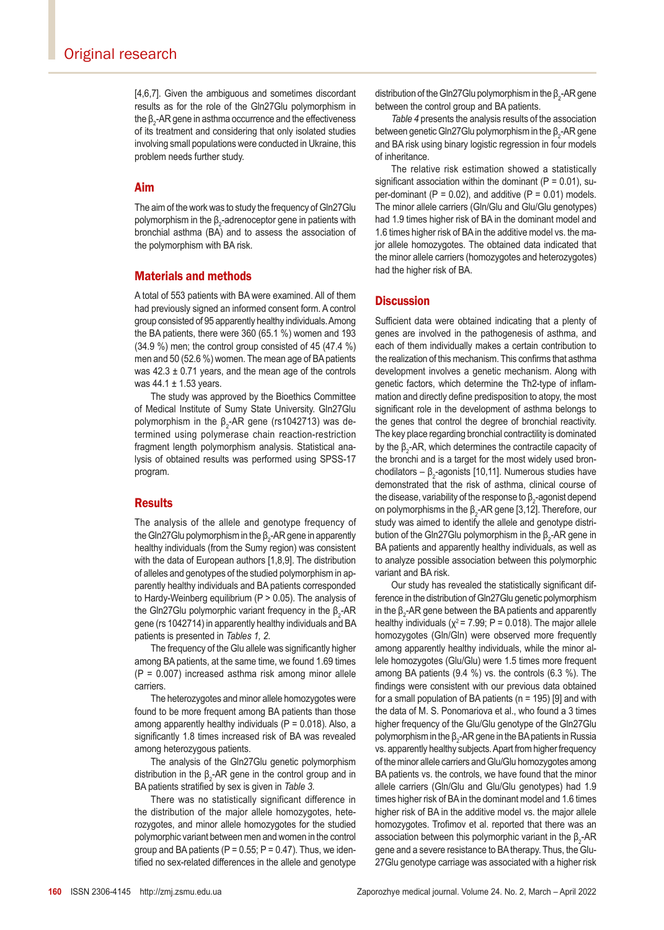[4,6,7]. Given the ambiguous and sometimes discordant results as for the role of the Gln27Glu polymorphism in the  $β_2$ -AR gene in asthma occurrence and the effectiveness of its treatment and considering that only isolated studies involving small populations were conducted in Ukraine, this problem needs further study.

#### Aim

The aim of the work was to study the frequency of Gln27Glu polymorphism in the  $\beta_2$ -adrenoceptor gene in patients with bronchial asthma (BA) and to assess the association of the polymorphism with BA risk.

### Materials and methods

A total of 553 patients with BA were examined. All of them had previously signed an informed consent form. A control group consisted of 95 apparently healthy individuals. Among the BA patients, there were 360 (65.1 %) women and 193 (34.9 %) men; the control group consisted of 45 (47.4 %) men and 50 (52.6 %) women. The mean age of BA patients was  $42.3 \pm 0.71$  years, and the mean age of the controls was 44.1 ± 1.53 years.

The study was approved by the Bioethics Committee of Medical Institute of Sumy State University. Gln27Glu polymorphism in the β $_2$ -AR gene (rs1042713) was determined using polymerase chain reaction-restriction fragment length polymorphism analysis. Statistical analysis of obtained results was performed using SPSS-17 program.

### **Results**

The analysis of the allele and genotype frequency of the Gln27Glu polymorphism in the  $\beta_{2}$ -AR gene in apparently healthy individuals (from the Sumy region) was consistent with the data of European authors [1,8,9]. The distribution of alleles and genotypes of the studied polymorphism in apparently healthy individuals and BA patients corresponded to Hardy-Weinberg equilibrium (P > 0.05). The analysis of the Gln27Glu polymorphic variant frequency in the  $β_2$ -AR gene (rs 1042714) in apparently healthy individuals and BA patients is presented in *Tables 1, 2*.

The frequency of the Glu allele was significantly higher among BA patients, at the same time, we found 1.69 times (P = 0.007) increased asthma risk among minor allele carriers.

The heterozygotes and minor allele homozygotes were found to be more frequent among BA patients than those among apparently healthy individuals ( $P = 0.018$ ). Also, a significantly 1.8 times increased risk of BA was revealed among heterozygous patients.

The analysis of the Gln27Glu genetic polymorphism distribution in the β<sub>2</sub>-AR gene in the control group and in BA patients stratified by sex is given in *Table 3*.

There was no statistically significant difference in the distribution of the major allele homozygotes, heterozygotes, and minor allele homozygotes for the studied polymorphic variant between men and women in the control group and BA patients ( $P = 0.55$ ;  $P = 0.47$ ). Thus, we identified no sex-related differences in the allele and genotype

distribution of the Gin27Glu polymorphism in the  $\beta_2$ -AR gene between the control group and BA patients.

*Table 4* presents the analysis results of the association between genetic Gln27Glu polymorphism in the  $\beta_2$ -AR gene and BA risk using binary logistic regression in four models of inheritance.

The relative risk estimation showed a statistically significant association within the dominant ( $P = 0.01$ ), super-dominant  $(P = 0.02)$ , and additive  $(P = 0.01)$  models. The minor allele carriers (Gln/Glu and Glu/Glu genotypes) had 1.9 times higher risk of BA in the dominant model and 1.6 times higher risk of BA in the additive model vs. the major allele homozygotes. The obtained data indicated that the minor allele carriers (homozygotes and heterozygotes) had the higher risk of BA.

### **Discussion**

Sufficient data were obtained indicating that a plenty of genes are involved in the pathogenesis of asthma, and each of them individually makes a certain contribution to the realization of this mechanism. This confirms that asthma development involves a genetic mechanism. Along with genetic factors, which determine the Th2-type of inflammation and directly define predisposition to atopy, the most significant role in the development of asthma belongs to the genes that control the degree of bronchial reactivity. The key place regarding bronchial contractility is dominated by the  $β_2$ -AR, which determines the contractile capacity of the bronchi and is a target for the most widely used bronchodilators – β $_2$ -agonists [10,11]. Numerous studies have demonstrated that the risk of asthma, clinical course of the disease, variability of the response to  $\beta_{2}$ -agonist depend on polymorphisms in the  $\beta_2$ -AR gene [3,12]. Therefore, our study was aimed to identify the allele and genotype distribution of the Gln27Glu polymorphism in the  $\beta_2$ -AR gene in BA patients and apparently healthy individuals, as well as to analyze possible association between this polymorphic variant and BA risk.

Our study has revealed the statistically significant difference in the distribution of Gln27Glu genetic polymorphism in the  $\beta_2$ -AR gene between the BA patients and apparently healthy individuals ( $\chi^2$  = 7.99; P = 0.018). The major allele homozygotes (Gln/Gln) were observed more frequently among apparently healthy individuals, while the minor allele homozygotes (Glu/Glu) were 1.5 times more frequent among BA patients (9.4 %) vs. the controls (6.3 %). The findings were consistent with our previous data obtained for a small population of BA patients ( $n = 195$ ) [9] and with the data of M. S. Ponomariova et al., who found a 3 times higher frequency of the Glu/Glu genotype of the Gln27Glu polymorphism in the β $_2$ -AR gene in the BA patients in Russia vs. apparently healthy subjects. Apart from higher frequency of the minor allele carriers and Glu/Glu homozygotes among BA patients vs. the controls, we have found that the minor allele carriers (Gln/Glu and Glu/Glu genotypes) had 1.9 times higher risk of BA in the dominant model and 1.6 times higher risk of BA in the additive model vs. the major allele homozygotes. Trofimov et al. reported that there was an association between this polymorphic variant in the  $\beta_{2}$ -AR gene and a severe resistance to BA therapy. Thus, the Glu-27Glu genotype carriage was associated with a higher risk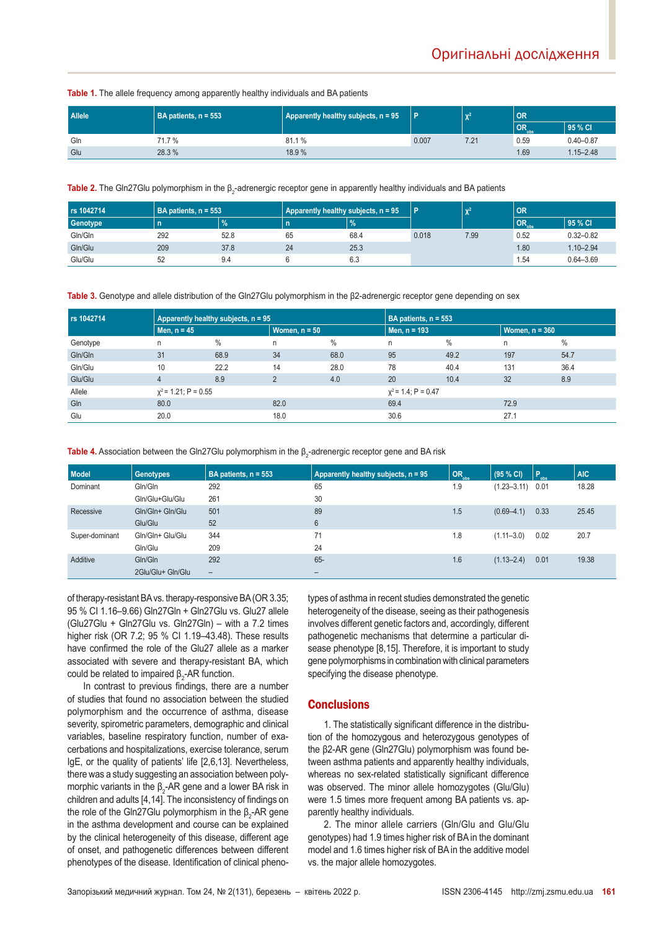**Table 1.** The allele frequency among apparently healthy individuals and BA patients

| <b>Allele</b> | BA patients, n = 553 | Apparently healthy subjects, n = 95 |       | $\sim$ $\sim$ $\sim$ | OR                       |               |  |
|---------------|----------------------|-------------------------------------|-------|----------------------|--------------------------|---------------|--|
|               |                      |                                     |       |                      | <b>OR</b> <sub>obs</sub> | 95 % CI       |  |
| Gln           | 71.7 %               | 81.1%                               | 0.007 | 7.21                 | 0.59                     | $0.40 - 0.87$ |  |
| Glu           | 28.3 %               | 18.9 %                              |       |                      | 1.69                     | $1.15 - 2.48$ |  |

**Table 2.** The Gin27Glu polymorphism in the β<sub>2</sub>-adrenergic receptor gene in apparently healthy individuals and BA patients

| rs 1042714 | BA patients, n = 553 |               | Apparently healthy subjects, n = 95 |               | P     | $X^2$ | OR                       |               |
|------------|----------------------|---------------|-------------------------------------|---------------|-------|-------|--------------------------|---------------|
| Genotype   |                      | $\frac{9}{6}$ | n                                   | $\frac{9}{6}$ |       |       | <b>OR</b> <sub>obs</sub> | 95 % CI       |
| Gln/Gln    | 292                  | 52.8          | 65                                  | 68.4          | 0.018 | 7.99  | 0.52                     | $0.32 - 0.82$ |
| Gln/Glu    | 209                  | 37.8          | 24                                  | 25.3          |       |       | 1.80                     | $1.10 - 2.94$ |
| Glu/Glu    | 52                   | 9.4           |                                     | 6.3           |       |       | .54                      | $0.64 - 3.69$ |

**Table 3.** Genotype and allele distribution of the Gln27Glu polymorphism in the β2-adrenergic receptor gene depending on sex

| rs 1042714 | Apparently healthy subjects, n = 95 |      |                 | BA patients, n = 553 |                       |      |                  |      |  |
|------------|-------------------------------------|------|-----------------|----------------------|-----------------------|------|------------------|------|--|
|            | Men, $n = 45$                       |      | Women, $n = 50$ |                      | Men, n = 193          |      | Women, $n = 360$ |      |  |
| Genotype   | n                                   | $\%$ | n               | $\%$                 | n                     | $\%$ | n                | %    |  |
| Gln/Gln    | 31                                  | 68.9 | 34              | 68.0                 | 95                    | 49.2 | 197              | 54.7 |  |
| Gln/Glu    | 10                                  | 22.2 | 14              | 28.0                 | 78                    | 40.4 | 131              | 36.4 |  |
| Glu/Glu    | 4                                   | 8.9  | $\Omega$        | 4.0                  | 20                    | 10.4 | 32               | 8.9  |  |
| Allele     | $x^2$ = 1.21; P = 0.55              |      |                 |                      | $x^2$ = 1.4; P = 0.47 |      |                  |      |  |
| Gln        | 80.0                                |      | 82.0            |                      | 69.4                  |      | 72.9             |      |  |
| Glu        | 20.0                                |      | 18.0            |                      | 30.6                  |      | 27.1             |      |  |

 ${\sf Table~4}.$  Association between the Gln27Glu polymorphism in the  $\beta_2$ -adrenergic receptor gene and BA risk

| <b>Model</b>   | <b>Genotypes</b>  | BA patients, n = 553 | Apparently healthy subjects, n = 95 | <b>NOR<sub>obs</sub></b> | (95 % CI)            | $\blacksquare$ | <b>AIC</b> |
|----------------|-------------------|----------------------|-------------------------------------|--------------------------|----------------------|----------------|------------|
| Dominant       | Gln/Gln           | 292                  | 65                                  | 1.9                      | $(1.23 - 3.11)$ 0.01 |                | 18.28      |
|                | Gln/Glu+Glu/Glu   | 261                  | 30                                  |                          |                      |                |            |
| Recessive      | Gln/Gln+ Gln/Glu  | 501                  | 89                                  | 1.5                      | $(0.69 - 4.1)$       | 0.33           | 25.45      |
|                | Glu/Glu           | 52                   | $6\phantom{1}$                      |                          |                      |                |            |
| Super-dominant | Gln/Gln+ Glu/Glu  | 344                  | 71                                  | 1.8                      | $(1.11 - 3.0)$       | 0.02           | 20.7       |
|                | Gln/Glu           | 209                  | 24                                  |                          |                      |                |            |
| Additive       | Gln/Gln           | 292                  | 65-                                 | 1.6                      | $(1.13 - 2.4)$       | 0.01           | 19.38      |
|                | 2Glu/Glu+ Gln/Glu | $\qquad \qquad -$    | $\overline{\phantom{a}}$            |                          |                      |                |            |

of therapy-resistant BA vs. therapy-responsive BA (OR 3.35; 95 % CІ 1.16–9.66) Gln27Gln + Gln27Glu vs. Glu27 allele (Glu27Glu + Gln27Glu vs. Gln27Gln) – with a 7.2 times higher risk (OR 7.2; 95 % CІ 1.19–43.48). These results have confirmed the role of the Glu27 allele as a marker associated with severe and therapy-resistant BA, which could be related to impaired  $β_2$ -AR function.

In contrast to previous findings, there are a number of studies that found no association between the studied polymorphism and the occurrence of asthma, disease severity, spirometric parameters, demographic and clinical variables, baseline respiratory function, number of exacerbations and hospitalizations, exercise tolerance, serum IgE, or the quality of patients' life [2,6,13]. Nevertheless, there was a study suggesting an association between polymorphic variants in the  $\beta_2$ -AR gene and a lower BA risk in children and adults [4,14]. The inconsistency of findings on the role of the Gln27Glu polymorphism in the  $\beta_2$ -AR gene in the asthma development and course can be explained by the clinical heterogeneity of this disease, different age of onset, and pathogenetic differences between different phenotypes of the disease. Identification of clinical phenotypes of asthma in recent studies demonstrated the genetic heterogeneity of the disease, seeing as their pathogenesis involves different genetic factors and, accordingly, different pathogenetic mechanisms that determine a particular disease phenotype [8,15]. Therefore, it is important to study gene polymorphisms in combination with clinical parameters specifying the disease phenotype.

#### **Conclusions**

1. The statistically significant difference in the distribution of the homozygous and heterozygous genotypes of the β2-AR gene (Gln27Glu) polymorphism was found between asthma patients and apparently healthy individuals, whereas no sex-related statistically significant difference was observed. The minor allele homozygotes (Glu/Glu) were 1.5 times more frequent among BA patients vs. apparently healthy individuals.

2. The minor allele carriers (Gln/Glu and Glu/Glu genotypes) had 1.9 times higher risk of BA in the dominant model and 1.6 times higher risk of BA in the additive model vs. the major allele homozygotes.